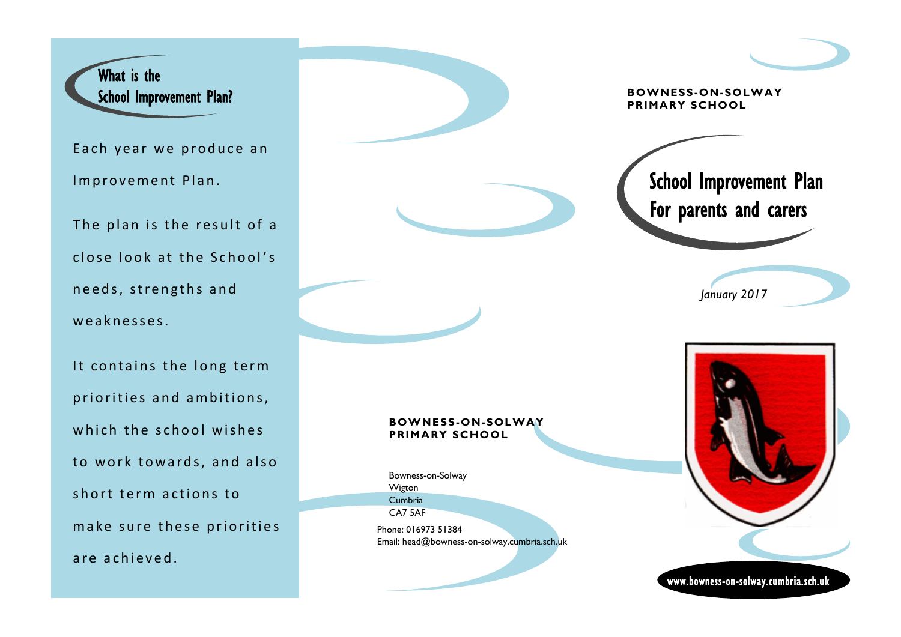

Each year we produce an Improvement Plan.

The plan is the result of a close look at the School's needs, strengths and weaknesses.

It contains the long term priorities and ambitions, which the school wishes to work towards, and also short term actions to make sure these priorities are achieved.

Bowness-on-Solway

**BOWNESS-ON-SOLWAY** 

**PRIMARY SCHOOL**

Phone: 016973 51384

Wigton Cumbria CA7 5AF

**PRIMARY SCHOOL** School Improvement Plan For parents and carers www.bowness-on-solway.cumbria.sch.uk *January 2017* Email: head@bowness-on-solway.cumbria.sch.uk

**BOWNESS-ON-SOLWAY**